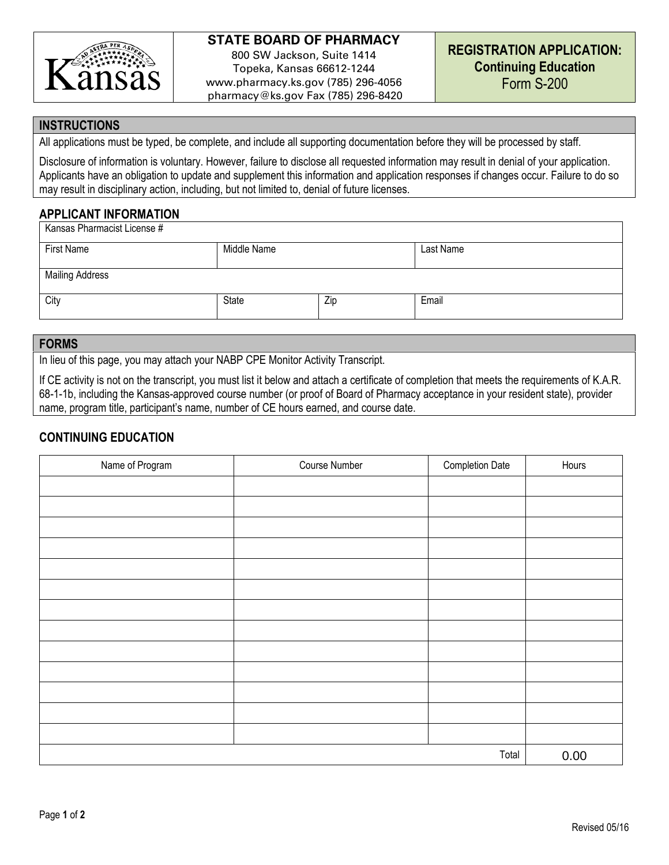

# **STATE BOARD OF PHARMACY**

800 SW Jackson, Suite 1414 Topeka, Kansas 66612-1244 www.pharmacy.ks.gov (785) 296-4056 pharmacy@ks.gov Fax (785) 296-8420

#### **INSTRUCTIONS**

All applications must be typed, be complete, and include all supporting documentation before they will be processed by staff.

Disclosure of information is voluntary. However, failure to disclose all requested information may result in denial of your application. Applicants have an obligation to update and supplement this information and application responses if changes occur. Failure to do so may result in disciplinary action, including, but not limited to, denial of future licenses.

## **APPLICANT INFORMATION**

| Kansas Pharmacist License # |              |     |           |  |  |  |
|-----------------------------|--------------|-----|-----------|--|--|--|
| First Name                  | Middle Name  |     | Last Name |  |  |  |
| <b>Mailing Address</b>      |              |     |           |  |  |  |
| City                        | <b>State</b> | Zip | Email     |  |  |  |

#### **FORMS**

In lieu of this page, you may attach your NABP CPE Monitor Activity Transcript.

If CE activity is not on the transcript, you must list it below and attach a certificate of completion that meets the requirements of K.A.R. 68-1-1b, including the Kansas-approved course number (or proof of Board of Pharmacy acceptance in your resident state), provider name, program title, participant's name, number of CE hours earned, and course date.

## **CONTINUING EDUCATION**

| Name of Program | Course Number | Completion Date | Hours |
|-----------------|---------------|-----------------|-------|
|                 |               |                 |       |
|                 |               |                 |       |
|                 |               |                 |       |
|                 |               |                 |       |
|                 |               |                 |       |
|                 |               |                 |       |
|                 |               |                 |       |
|                 |               |                 |       |
|                 |               |                 |       |
|                 |               |                 |       |
|                 |               |                 |       |
|                 |               |                 |       |
|                 |               |                 |       |
| Total           |               |                 | 0.00  |